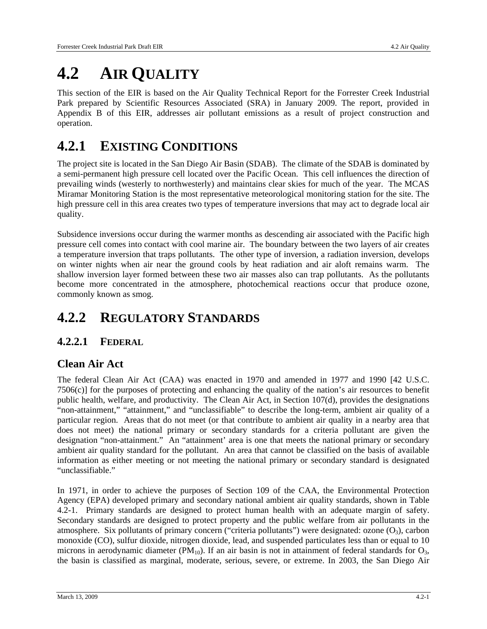# **4.2 AIR QUALITY**

This section of the EIR is based on the Air Quality Technical Report for the Forrester Creek Industrial Park prepared by Scientific Resources Associated (SRA) in January 2009. The report, provided in Appendix B of this EIR, addresses air pollutant emissions as a result of project construction and operation.

## **4.2.1 EXISTING CONDITIONS**

The project site is located in the San Diego Air Basin (SDAB). The climate of the SDAB is dominated by a semi-permanent high pressure cell located over the Pacific Ocean. This cell influences the direction of prevailing winds (westerly to northwesterly) and maintains clear skies for much of the year. The MCAS Miramar Monitoring Station is the most representative meteorological monitoring station for the site. The high pressure cell in this area creates two types of temperature inversions that may act to degrade local air quality.

Subsidence inversions occur during the warmer months as descending air associated with the Pacific high pressure cell comes into contact with cool marine air. The boundary between the two layers of air creates a temperature inversion that traps pollutants. The other type of inversion, a radiation inversion, develops on winter nights when air near the ground cools by heat radiation and air aloft remains warm. The shallow inversion layer formed between these two air masses also can trap pollutants. As the pollutants become more concentrated in the atmosphere, photochemical reactions occur that produce ozone, commonly known as smog.

## **4.2.2 REGULATORY STANDARDS**

## **4.2.2.1 FEDERAL**

## **Clean Air Act**

The federal Clean Air Act (CAA) was enacted in 1970 and amended in 1977 and 1990 [42 U.S.C. 7506(c)] for the purposes of protecting and enhancing the quality of the nation's air resources to benefit public health, welfare, and productivity. The Clean Air Act, in Section 107(d), provides the designations "non-attainment," "attainment," and "unclassifiable" to describe the long-term, ambient air quality of a particular region. Areas that do not meet (or that contribute to ambient air quality in a nearby area that does not meet) the national primary or secondary standards for a criteria pollutant are given the designation "non-attainment." An "attainment' area is one that meets the national primary or secondary ambient air quality standard for the pollutant. An area that cannot be classified on the basis of available information as either meeting or not meeting the national primary or secondary standard is designated "unclassifiable."

In 1971, in order to achieve the purposes of Section 109 of the CAA, the Environmental Protection Agency (EPA) developed primary and secondary national ambient air quality standards, shown in Table 4.2-1. Primary standards are designed to protect human health with an adequate margin of safety. Secondary standards are designed to protect property and the public welfare from air pollutants in the atmosphere. Six pollutants of primary concern ("criteria pollutants") were designated: ozone  $(O_3)$ , carbon monoxide (CO), sulfur dioxide, nitrogen dioxide, lead, and suspended particulates less than or equal to 10 microns in aerodynamic diameter ( $PM_{10}$ ). If an air basin is not in attainment of federal standards for  $O_3$ , the basin is classified as marginal, moderate, serious, severe, or extreme. In 2003, the San Diego Air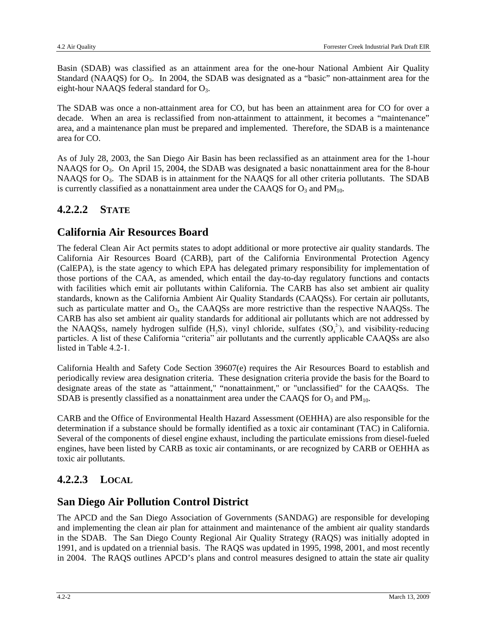Basin (SDAB) was classified as an attainment area for the one-hour National Ambient Air Quality Standard (NAAQS) for  $O_3$ . In 2004, the SDAB was designated as a "basic" non-attainment area for the eight-hour NAAQS federal standard for  $O_3$ .

The SDAB was once a non-attainment area for CO, but has been an attainment area for CO for over a decade. When an area is reclassified from non-attainment to attainment, it becomes a "maintenance" area, and a maintenance plan must be prepared and implemented. Therefore, the SDAB is a maintenance area for CO.

As of July 28, 2003, the San Diego Air Basin has been reclassified as an attainment area for the 1-hour NAAQS for O<sub>3</sub>. On April 15, 2004, the SDAB was designated a basic nonattainment area for the 8-hour NAAQS for O<sub>3</sub>. The SDAB is in attainment for the NAAQS for all other criteria pollutants. The SDAB is currently classified as a nonattainment area under the CAAQS for  $O_3$  and  $PM_{10}$ .

## **4.2.2.2 STATE**

### **California Air Resources Board**

The federal Clean Air Act permits states to adopt additional or more protective air quality standards. The California Air Resources Board (CARB), part of the California Environmental Protection Agency (CalEPA), is the state agency to which EPA has delegated primary responsibility for implementation of those portions of the CAA, as amended, which entail the day-to-day regulatory functions and contacts with facilities which emit air pollutants within California. The CARB has also set ambient air quality standards, known as the California Ambient Air Quality Standards (CAAQSs). For certain air pollutants, such as particulate matter and  $O_3$ , the CAAQSs are more restrictive than the respective NAAQSs. The CARB has also set ambient air quality standards for additional air pollutants which are not addressed by the NAAQSs, namely hydrogen sulfide  $(H_2S)$ , vinyl chloride, sulfates  $(SO_4^2)$ , and visibility-reducing particles. A list of these California "criteria" air pollutants and the currently applicable CAAQSs are also listed in Table 4.2-1.

California Health and Safety Code Section 39607(e) requires the Air Resources Board to establish and periodically review area designation criteria. These designation criteria provide the basis for the Board to designate areas of the state as "attainment," "nonattainment," or "unclassified" for the CAAQSs. The SDAB is presently classified as a nonattainment area under the CAAQS for  $O_3$  and  $PM_{10}$ .

CARB and the Office of Environmental Health Hazard Assessment (OEHHA) are also responsible for the determination if a substance should be formally identified as a toxic air contaminant (TAC) in California. Several of the components of diesel engine exhaust, including the particulate emissions from diesel-fueled engines, have been listed by CARB as toxic air contaminants, or are recognized by CARB or OEHHA as toxic air pollutants.

## **4.2.2.3 LOCAL**

## **San Diego Air Pollution Control District**

The APCD and the San Diego Association of Governments (SANDAG) are responsible for developing and implementing the clean air plan for attainment and maintenance of the ambient air quality standards in the SDAB. The San Diego County Regional Air Quality Strategy (RAQS) was initially adopted in 1991, and is updated on a triennial basis. The RAQS was updated in 1995, 1998, 2001, and most recently in 2004. The RAQS outlines APCD's plans and control measures designed to attain the state air quality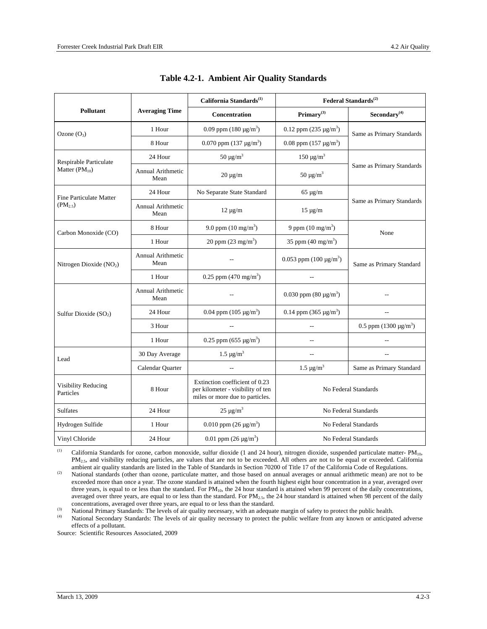|                                                                         |                                                  | California Standards <sup>(1)</sup>                                                                    | Federal Standards <sup>(2)</sup> |                            |
|-------------------------------------------------------------------------|--------------------------------------------------|--------------------------------------------------------------------------------------------------------|----------------------------------|----------------------------|
| <b>Pollutant</b>                                                        | <b>Averaging Time</b>                            | Concentration                                                                                          | Primary <sup>(3)</sup>           | $\mathrm{Secondary}^{(4)}$ |
| Ozone $(O_3)$                                                           | 1 Hour                                           | 0.09 ppm $(180 \,\mu g/m^3)$                                                                           | 0.12 ppm $(235 \text{ µg/m}^3)$  | Same as Primary Standards  |
|                                                                         | 8 Hour                                           | 0.070 ppm $(137 \text{ µg/m}^3)$                                                                       | 0.08 ppm $(157 \,\mu g/m^3)$     |                            |
| Respirable Particulate                                                  | $50 \mu g/m^3$<br>24 Hour                        |                                                                                                        | $150 \mu g/m^3$                  |                            |
| Matter $(PM_{10})$                                                      | <b>Annual Arithmetic</b><br>$20 \mu g/m$<br>Mean |                                                                                                        | 50 $\mu$ g/m <sup>3</sup>        | Same as Primary Standards  |
| <b>Fine Particulate Matter</b>                                          | 24 Hour                                          | No Separate State Standard                                                                             | $65 \mu g/m$                     |                            |
| $(PM_2, \overline{S})$                                                  | <b>Annual Arithmetic</b><br>Mean                 | $12 \mu g/m$                                                                                           | $15 \mu g/m$                     | Same as Primary Standards  |
| Carbon Monoxide (CO)                                                    | 8 Hour                                           | 9.0 ppm $(10 \text{ mg/m}^3)$                                                                          | 9 ppm $(10 \text{ mg/m}^3)$      | None                       |
|                                                                         | 20 ppm $(23 \text{ mg/m}^3)$<br>1 Hour           |                                                                                                        | 35 ppm $(40 \text{ mg/m}^3)$     |                            |
| <b>Annual Arithmetic</b><br>Mean<br>Nitrogen Dioxide (NO <sub>2</sub> ) |                                                  | 0.053 ppm $(100 \mu g/m^3)$                                                                            | Same as Primary Standard         |                            |
|                                                                         | 1 Hour                                           | 0.25 ppm $(470 \text{ mg/m}^3)$                                                                        |                                  |                            |
|                                                                         | <b>Annual Arithmetic</b><br>Mean                 |                                                                                                        | 0.030 ppm $(80 \mu g/m^3)$       |                            |
| 24 Hour<br>Sulfur Dioxide $(SO2)$                                       |                                                  | 0.04 ppm $(105 \mu g/m^3)$                                                                             | 0.14 ppm $(365 \mu g/m^3)$       | $\overline{a}$             |
|                                                                         | 3 Hour                                           |                                                                                                        |                                  | 0.5 ppm $(1300 \mu g/m^3)$ |
|                                                                         | 1 Hour                                           | 0.25 ppm (655 $\mu$ g/m <sup>3</sup> )                                                                 | $-$                              |                            |
| Lead                                                                    | 30 Day Average                                   | $1.5 \,\mu g/m^3$                                                                                      |                                  |                            |
|                                                                         | Calendar Quarter                                 |                                                                                                        | $1.5 \,\mu g/m^3$                | Same as Primary Standard   |
| Visibility Reducing<br>Particles                                        | 8 Hour                                           | Extinction coefficient of 0.23<br>per kilometer - visibility of ten<br>miles or more due to particles. | No Federal Standards             |                            |
| <b>Sulfates</b>                                                         | 24 Hour                                          | $25 \mu g/m^3$                                                                                         |                                  | No Federal Standards       |
| Hydrogen Sulfide                                                        | 1 Hour                                           | 0.010 ppm $(26 \mu g/m^3)$                                                                             |                                  | No Federal Standards       |
| Vinyl Chloride                                                          | 24 Hour                                          | 0.01 ppm $(26 \mu g/m^3)$                                                                              | No Federal Standards             |                            |

| Table 4.2-1. Ambient Air Quality Standards |  |  |  |
|--------------------------------------------|--|--|--|
|--------------------------------------------|--|--|--|

(1) California Standards for ozone, carbon monoxide, sulfur dioxide (1 and 24 hour), nitrogen dioxide, suspended particulate matter- $PM_{10}$ ,  $PM_{2.5}$ , and visibility reducing particles, are values that are not to be exceeded. All others are not to be equal or exceeded. California ambient air quality standards are listed in the Table of Standards in Section 702

<sup>(2)</sup> National standards (other than ozone, particulate matter, and those based on annual averages or annual arithmetic mean) are not to be exceeded more than once a year. The ozone standard is attained when the fourth highest eight hour concentration in a year, averaged over three years, is equal to or less than the standard. For PM<sub>10</sub>, the 24 hour standard is attained when 99 percent of the daily concentrations, averaged over three years, are equal to or less than the standard. For PM<sub>2.5</sub>, the 24 hour standard is attained when 98 percent of the daily concentrations, averaged over three years, are equal to or less than the standar

(3) National Primary Standards: The levels of air quality necessary, with an adequate margin of safety to protect the public health.<br>
(4) National Secondary Standards: The levels of air quality necessary, with an adequate effects of a pollutant.

Source: Scientific Resources Associated, 2009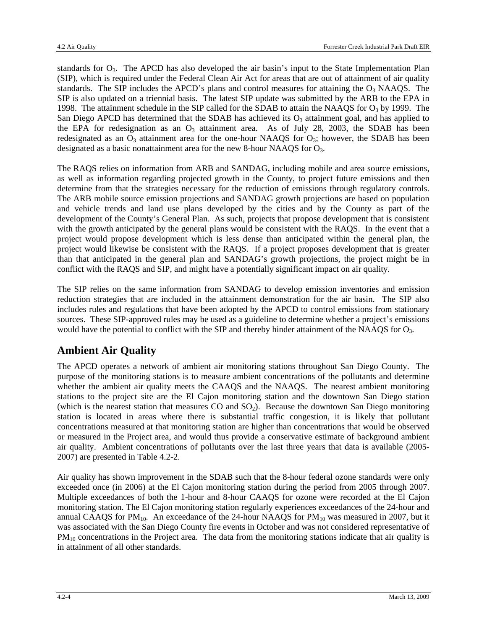standards for  $O_3$ . The APCD has also developed the air basin's input to the State Implementation Plan (SIP), which is required under the Federal Clean Air Act for areas that are out of attainment of air quality standards. The SIP includes the APCD's plans and control measures for attaining the  $O_3$  NAAQS. The SIP is also updated on a triennial basis. The latest SIP update was submitted by the ARB to the EPA in 1998. The attainment schedule in the SIP called for the SDAB to attain the NAAQS for  $O<sub>3</sub>$  by 1999. The San Diego APCD has determined that the SDAB has achieved its  $O_3$  attainment goal, and has applied to the EPA for redesignation as an  $O_3$  attainment area. As of July 28, 2003, the SDAB has been redesignated as an  $O_3$  attainment area for the one-hour NAAQS for  $O_3$ ; however, the SDAB has been designated as a basic nonattainment area for the new 8-hour NAAQS for  $O_3$ .

The RAQS relies on information from ARB and SANDAG, including mobile and area source emissions, as well as information regarding projected growth in the County, to project future emissions and then determine from that the strategies necessary for the reduction of emissions through regulatory controls. The ARB mobile source emission projections and SANDAG growth projections are based on population and vehicle trends and land use plans developed by the cities and by the County as part of the development of the County's General Plan. As such, projects that propose development that is consistent with the growth anticipated by the general plans would be consistent with the RAQS. In the event that a project would propose development which is less dense than anticipated within the general plan, the project would likewise be consistent with the RAQS. If a project proposes development that is greater than that anticipated in the general plan and SANDAG's growth projections, the project might be in conflict with the RAQS and SIP, and might have a potentially significant impact on air quality.

The SIP relies on the same information from SANDAG to develop emission inventories and emission reduction strategies that are included in the attainment demonstration for the air basin. The SIP also includes rules and regulations that have been adopted by the APCD to control emissions from stationary sources. These SIP-approved rules may be used as a guideline to determine whether a project's emissions would have the potential to conflict with the SIP and thereby hinder attainment of the NAAQS for O<sub>3</sub>.

## **Ambient Air Quality**

The APCD operates a network of ambient air monitoring stations throughout San Diego County. The purpose of the monitoring stations is to measure ambient concentrations of the pollutants and determine whether the ambient air quality meets the CAAQS and the NAAQS. The nearest ambient monitoring stations to the project site are the El Cajon monitoring station and the downtown San Diego station (which is the nearest station that measures  $CO$  and  $SO<sub>2</sub>$ ). Because the downtown San Diego monitoring station is located in areas where there is substantial traffic congestion, it is likely that pollutant concentrations measured at that monitoring station are higher than concentrations that would be observed or measured in the Project area, and would thus provide a conservative estimate of background ambient air quality. Ambient concentrations of pollutants over the last three years that data is available (2005- 2007) are presented in Table 4.2-2.

Air quality has shown improvement in the SDAB such that the 8-hour federal ozone standards were only exceeded once (in 2006) at the El Cajon monitoring station during the period from 2005 through 2007. Multiple exceedances of both the 1-hour and 8-hour CAAQS for ozone were recorded at the El Cajon monitoring station. The El Cajon monitoring station regularly experiences exceedances of the 24-hour and annual CAAQS for  $PM_{10}$ . An exceedance of the 24-hour NAAQS for  $PM_{10}$  was measured in 2007, but it was associated with the San Diego County fire events in October and was not considered representative of PM<sub>10</sub> concentrations in the Project area. The data from the monitoring stations indicate that air quality is in attainment of all other standards.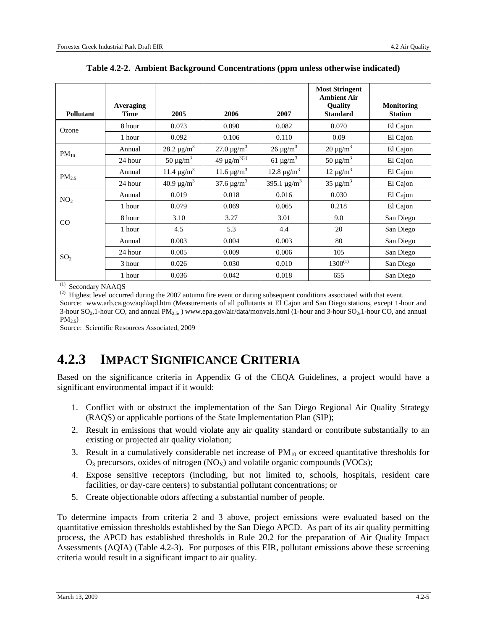| Pollutant       | Averaging<br><b>Time</b> | 2005                        | 2006                         | 2007                         | <b>Most Stringent</b><br><b>Ambient Air</b><br>Quality<br><b>Standard</b> | <b>Monitoring</b><br><b>Station</b> |
|-----------------|--------------------------|-----------------------------|------------------------------|------------------------------|---------------------------------------------------------------------------|-------------------------------------|
| Ozone           | 8 hour                   | 0.073                       | 0.090                        | 0.082                        | 0.070                                                                     | El Cajon                            |
|                 | 1 hour                   | 0.092                       | 0.106                        | 0.110                        | 0.09                                                                      | El Cajon                            |
| $PM_{10}$       | Annual                   | 28.2 $\mu$ g/m <sup>3</sup> | $27.0 \,\mathrm{\mu g/m^3}$  | $26 \mu g/m^3$               | $20 \mu g/m^3$                                                            | El Cajon                            |
|                 | 24 hour                  | $50 \mu g/m^3$              | 49 $\mu$ g/m <sup>3(2)</sup> | 61 $\mu$ g/m <sup>3</sup>    | 50 $\mu$ g/m <sup>3</sup>                                                 | El Cajon                            |
| $PM_{2.5}$      | Annual                   | $11.4 \,\mu g/m^3$          | 11.6 $\mu$ g/m <sup>3</sup>  | 12.8 $\mu$ g/m <sup>3</sup>  | $12 \mu g/m^3$                                                            | El Cajon                            |
|                 | 24 hour                  | 40.9 $\mu$ g/m <sup>3</sup> | 37.6 $\mu$ g/m <sup>3</sup>  | 395.1 $\mu$ g/m <sup>3</sup> | $35 \mu g/m^3$                                                            | El Cajon                            |
| NO <sub>2</sub> | Annual                   | 0.019                       | 0.018                        | 0.016                        | 0.030                                                                     | El Cajon                            |
|                 | 1 hour                   | 0.079                       | 0.069                        | 0.065                        | 0.218                                                                     | El Cajon                            |
| CO              | 8 hour                   | 3.10                        | 3.27                         | 3.01                         | 9.0                                                                       | San Diego                           |
|                 | 1 hour                   | 4.5                         | 5.3                          | 4.4                          | 20                                                                        | San Diego                           |
|                 | Annual                   | 0.003                       | 0.004                        | 0.003                        | 80                                                                        | San Diego                           |
| SO <sub>2</sub> | 24 hour                  | 0.005                       | 0.009                        | 0.006                        | 105                                                                       | San Diego                           |
|                 | 3 hour                   | 0.026                       | 0.030                        | 0.010                        | $1300^{(1)}$                                                              | San Diego                           |
|                 | 1 hour                   | 0.036                       | 0.042                        | 0.018                        | 655                                                                       | San Diego                           |

**Table 4.2-2. Ambient Background Concentrations (ppm unless otherwise indicated)** 

(1) Secondary NAAQS

<sup>(2)</sup> Highest level occurred during the 2007 autumn fire event or during subsequent conditions associated with that event.

Source: www.arb.ca.gov/aqd/aqd.htm (Measurements of all pollutants at El Cajon and San Diego stations, except 1-hour and 3-hour  $SO_2$ ,1-hour CO, and annual PM<sub>2.5</sub>, ) www.epa.gov/air/data/monvals.html (1-hour and 3-hour SO<sub>2</sub>,1-hour CO, and annual  $PM_{2.5}$ )

Source: Scientific Resources Associated, 2009

## **4.2.3 IMPACT SIGNIFICANCE CRITERIA**

Based on the significance criteria in Appendix G of the CEQA Guidelines, a project would have a significant environmental impact if it would:

- 1. Conflict with or obstruct the implementation of the San Diego Regional Air Quality Strategy (RAQS) or applicable portions of the State Implementation Plan (SIP);
- 2. Result in emissions that would violate any air quality standard or contribute substantially to an existing or projected air quality violation;
- 3. Result in a cumulatively considerable net increase of  $PM_{10}$  or exceed quantitative thresholds for  $O_3$  precursors, oxides of nitrogen (NO<sub>X</sub>) and volatile organic compounds (VOCs);
- 4. Expose sensitive receptors (including, but not limited to, schools, hospitals, resident care facilities, or day-care centers) to substantial pollutant concentrations; or
- 5. Create objectionable odors affecting a substantial number of people.

To determine impacts from criteria 2 and 3 above, project emissions were evaluated based on the quantitative emission thresholds established by the San Diego APCD. As part of its air quality permitting process, the APCD has established thresholds in Rule 20.2 for the preparation of Air Quality Impact Assessments (AQIA) (Table 4.2-3). For purposes of this EIR, pollutant emissions above these screening criteria would result in a significant impact to air quality.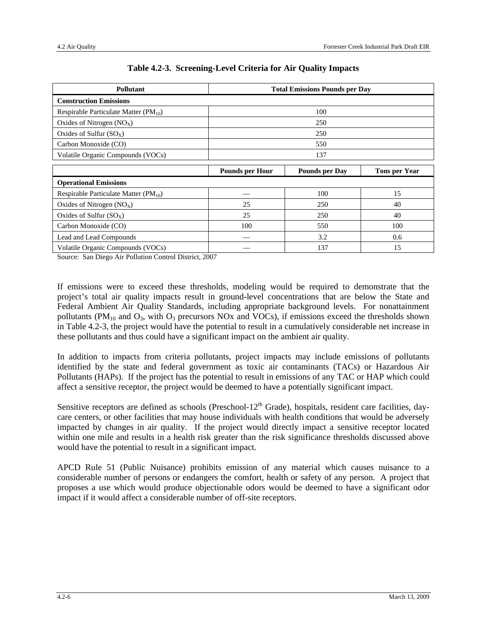| <b>Pollutant</b>                            | <b>Total Emissions Pounds per Day</b> |                       |                      |  |  |
|---------------------------------------------|---------------------------------------|-----------------------|----------------------|--|--|
| <b>Construction Emissions</b>               |                                       |                       |                      |  |  |
| Respirable Particulate Matter ( $PM_{10}$ ) | 100                                   |                       |                      |  |  |
| Oxides of Nitrogen $(NOx)$                  |                                       | 250                   |                      |  |  |
| Oxides of Sulfur $(SO_X)$                   | 250                                   |                       |                      |  |  |
| Carbon Monoxide (CO)                        | 550                                   |                       |                      |  |  |
| Volatile Organic Compounds (VOCs)           | 137                                   |                       |                      |  |  |
|                                             | <b>Pounds per Hour</b>                | <b>Pounds per Day</b> | <b>Tons per Year</b> |  |  |
| <b>Operational Emissions</b>                |                                       |                       |                      |  |  |
| Respirable Particulate Matter $(PM_{10})$   |                                       | 100                   | 15                   |  |  |
| Oxides of Nitrogen $(NOx)$                  | 25                                    | 250                   | 40                   |  |  |
| Oxides of Sulfur $(SO_X)$                   | 25                                    | 250                   | 40                   |  |  |
| Carbon Monoxide (CO)                        | 100                                   | 550                   | 100                  |  |  |
| Lead and Lead Compounds                     |                                       | 3.2                   | 0.6                  |  |  |
| Volatile Organic Compounds (VOCs)           |                                       | 137                   | 15                   |  |  |

#### **Table 4.2-3. Screening-Level Criteria for Air Quality Impacts**

Source: San Diego Air Pollution Control District, 2007

If emissions were to exceed these thresholds, modeling would be required to demonstrate that the project's total air quality impacts result in ground-level concentrations that are below the State and Federal Ambient Air Quality Standards, including appropriate background levels. For nonattainment pollutants (PM<sub>10</sub> and  $O_3$ , with  $O_3$  precursors NOx and VOCs), if emissions exceed the thresholds shown in Table 4.2-3, the project would have the potential to result in a cumulatively considerable net increase in these pollutants and thus could have a significant impact on the ambient air quality.

In addition to impacts from criteria pollutants, project impacts may include emissions of pollutants identified by the state and federal government as toxic air contaminants (TACs) or Hazardous Air Pollutants (HAPs). If the project has the potential to result in emissions of any TAC or HAP which could affect a sensitive receptor, the project would be deemed to have a potentially significant impact.

Sensitive receptors are defined as schools (Preschool- $12<sup>th</sup>$  Grade), hospitals, resident care facilities, daycare centers, or other facilities that may house individuals with health conditions that would be adversely impacted by changes in air quality. If the project would directly impact a sensitive receptor located within one mile and results in a health risk greater than the risk significance thresholds discussed above would have the potential to result in a significant impact.

APCD Rule 51 (Public Nuisance) prohibits emission of any material which causes nuisance to a considerable number of persons or endangers the comfort, health or safety of any person. A project that proposes a use which would produce objectionable odors would be deemed to have a significant odor impact if it would affect a considerable number of off-site receptors.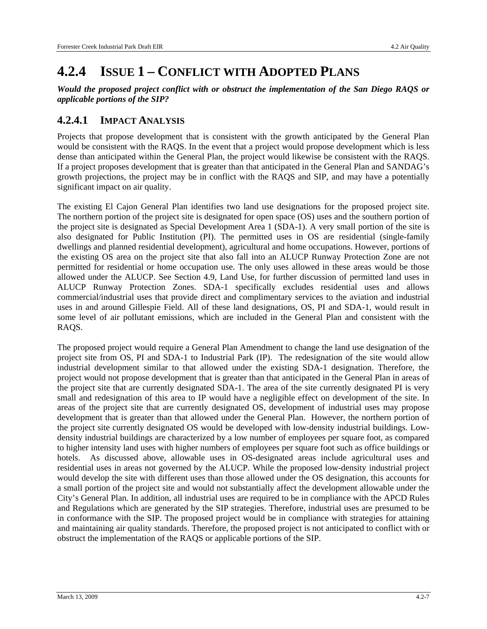## **4.2.4 ISSUE 1 – CONFLICT WITH ADOPTED PLANS**

*Would the proposed project conflict with or obstruct the implementation of the San Diego RAQS or applicable portions of the SIP?* 

### **4.2.4.1 IMPACT ANALYSIS**

Projects that propose development that is consistent with the growth anticipated by the General Plan would be consistent with the RAQS. In the event that a project would propose development which is less dense than anticipated within the General Plan, the project would likewise be consistent with the RAQS. If a project proposes development that is greater than that anticipated in the General Plan and SANDAG's growth projections, the project may be in conflict with the RAQS and SIP, and may have a potentially significant impact on air quality.

The existing El Cajon General Plan identifies two land use designations for the proposed project site. The northern portion of the project site is designated for open space (OS) uses and the southern portion of the project site is designated as Special Development Area 1 (SDA-1). A very small portion of the site is also designated for Public Institution (PI). The permitted uses in OS are residential (single-family dwellings and planned residential development), agricultural and home occupations. However, portions of the existing OS area on the project site that also fall into an ALUCP Runway Protection Zone are not permitted for residential or home occupation use. The only uses allowed in these areas would be those allowed under the ALUCP. See Section 4.9, Land Use, for further discussion of permitted land uses in ALUCP Runway Protection Zones. SDA-1 specifically excludes residential uses and allows commercial/industrial uses that provide direct and complimentary services to the aviation and industrial uses in and around Gillespie Field. All of these land designations, OS, PI and SDA-1, would result in some level of air pollutant emissions, which are included in the General Plan and consistent with the RAQS.

The proposed project would require a General Plan Amendment to change the land use designation of the project site from OS, PI and SDA-1 to Industrial Park (IP). The redesignation of the site would allow industrial development similar to that allowed under the existing SDA-1 designation. Therefore, the project would not propose development that is greater than that anticipated in the General Plan in areas of the project site that are currently designated SDA-1. The area of the site currently designated PI is very small and redesignation of this area to IP would have a negligible effect on development of the site. In areas of the project site that are currently designated OS, development of industrial uses may propose development that is greater than that allowed under the General Plan. However, the northern portion of the project site currently designated OS would be developed with low-density industrial buildings. Lowdensity industrial buildings are characterized by a low number of employees per square foot, as compared to higher intensity land uses with higher numbers of employees per square foot such as office buildings or hotels. As discussed above, allowable uses in OS-designated areas include agricultural uses and residential uses in areas not governed by the ALUCP. While the proposed low-density industrial project would develop the site with different uses than those allowed under the OS designation, this accounts for a small portion of the project site and would not substantially affect the development allowable under the City's General Plan. In addition, all industrial uses are required to be in compliance with the APCD Rules and Regulations which are generated by the SIP strategies. Therefore, industrial uses are presumed to be in conformance with the SIP. The proposed project would be in compliance with strategies for attaining and maintaining air quality standards. Therefore, the proposed project is not anticipated to conflict with or obstruct the implementation of the RAQS or applicable portions of the SIP.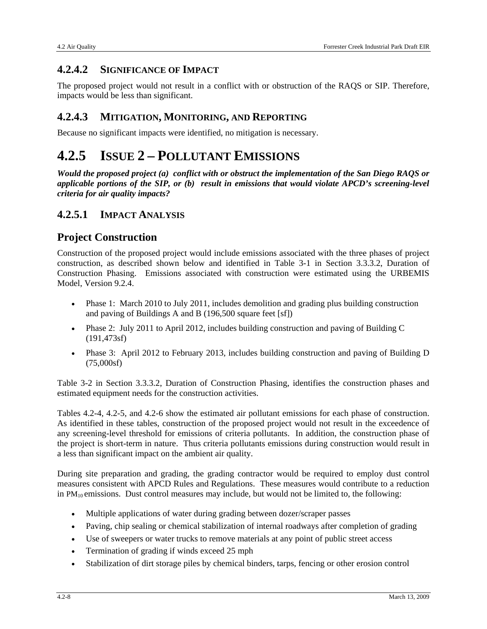## **4.2.4.2 SIGNIFICANCE OF IMPACT**

The proposed project would not result in a conflict with or obstruction of the RAQS or SIP. Therefore, impacts would be less than significant.

### **4.2.4.3 MITIGATION, MONITORING, AND REPORTING**

Because no significant impacts were identified, no mitigation is necessary.

## **4.2.5 ISSUE 2 – POLLUTANT EMISSIONS**

*Would the proposed project (a) conflict with or obstruct the implementation of the San Diego RAQS or applicable portions of the SIP, or (b) result in emissions that would violate APCD's screening-level criteria for air quality impacts?* 

### **4.2.5.1 IMPACT ANALYSIS**

## **Project Construction**

Construction of the proposed project would include emissions associated with the three phases of project construction, as described shown below and identified in Table 3-1 in Section 3.3.3.2, Duration of Construction Phasing. Emissions associated with construction were estimated using the URBEMIS Model, Version 9.2.4.

- Phase 1: March 2010 to July 2011, includes demolition and grading plus building construction and paving of Buildings A and B (196,500 square feet [sf])
- Phase 2: July 2011 to April 2012, includes building construction and paving of Building C (191,473sf)
- Phase 3: April 2012 to February 2013, includes building construction and paving of Building D (75,000sf)

Table 3-2 in Section 3.3.3.2, Duration of Construction Phasing, identifies the construction phases and estimated equipment needs for the construction activities.

Tables 4.2-4, 4.2-5, and 4.2-6 show the estimated air pollutant emissions for each phase of construction. As identified in these tables, construction of the proposed project would not result in the exceedence of any screening-level threshold for emissions of criteria pollutants. In addition, the construction phase of the project is short-term in nature. Thus criteria pollutants emissions during construction would result in a less than significant impact on the ambient air quality.

During site preparation and grading, the grading contractor would be required to employ dust control measures consistent with APCD Rules and Regulations. These measures would contribute to a reduction in PM<sub>10</sub> emissions. Dust control measures may include, but would not be limited to, the following:

- Multiple applications of water during grading between dozer/scraper passes
- Paving, chip sealing or chemical stabilization of internal roadways after completion of grading
- Use of sweepers or water trucks to remove materials at any point of public street access
- Termination of grading if winds exceed 25 mph
- Stabilization of dirt storage piles by chemical binders, tarps, fencing or other erosion control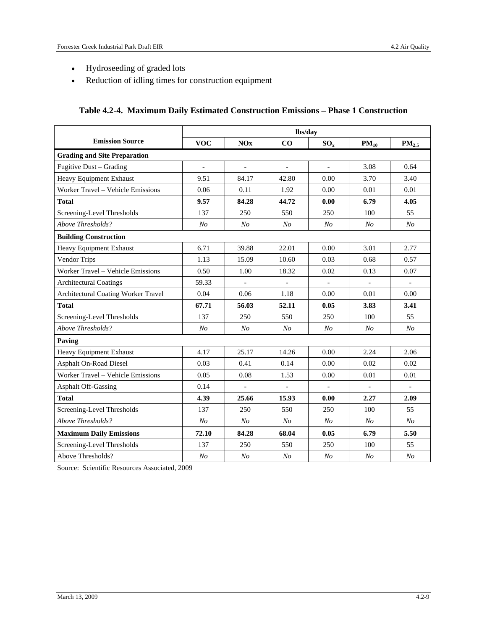- Hydroseeding of graded lots
- Reduction of idling times for construction equipment

| Table 4.2-4. Maximum Daily Estimated Construction Emissions - Phase 1 Construction |
|------------------------------------------------------------------------------------|
|------------------------------------------------------------------------------------|

|                                     | lbs/day                  |                          |                |                |                          |                          |
|-------------------------------------|--------------------------|--------------------------|----------------|----------------|--------------------------|--------------------------|
| <b>Emission Source</b>              | <b>VOC</b>               | NOx                      | CO             | $SO_x$         | $PM_{10}$                | PM <sub>2.5</sub>        |
| <b>Grading and Site Preparation</b> |                          |                          |                |                |                          |                          |
| Fugitive Dust - Grading             | $\overline{\phantom{a}}$ | $\overline{\phantom{a}}$ | $\blacksquare$ | $\overline{a}$ | 3.08                     | 0.64                     |
| Heavy Equipment Exhaust             | 9.51                     | 84.17                    | 42.80          | 0.00           | 3.70                     | 3.40                     |
| Worker Travel - Vehicle Emissions   | 0.06                     | 0.11                     | 1.92           | 0.00           | 0.01                     | 0.01                     |
| <b>Total</b>                        | 9.57                     | 84.28                    | 44.72          | 0.00           | 6.79                     | 4.05                     |
| Screening-Level Thresholds          | 137                      | 250                      | 550            | 250            | 100                      | 55                       |
| Above Thresholds?                   | N <sub>o</sub>           | N <sub>O</sub>           | N <sub>O</sub> | N <sub>O</sub> | N <sub>O</sub>           | N <sub>O</sub>           |
| <b>Building Construction</b>        |                          |                          |                |                |                          |                          |
| Heavy Equipment Exhaust             | 6.71                     | 39.88                    | 22.01          | 0.00           | 3.01                     | 2.77                     |
| Vendor Trips                        | 1.13                     | 15.09                    | 10.60          | 0.03           | 0.68                     | 0.57                     |
| Worker Travel - Vehicle Emissions   | 0.50                     | 1.00                     | 18.32          | 0.02           | 0.13                     | 0.07                     |
| <b>Architectural Coatings</b>       | 59.33                    |                          |                |                |                          |                          |
| Architectural Coating Worker Travel | 0.04                     | 0.06                     | 1.18           | 0.00           | 0.01                     | 0.00                     |
| <b>Total</b>                        | 67.71                    | 56.03                    | 52.11          | 0.05           | 3.83                     | 3.41                     |
| Screening-Level Thresholds          | 137                      | 250                      | 550            | 250            | 100                      | 55                       |
| Above Thresholds?                   | N <sub>O</sub>           | N <sub>O</sub>           | N <sub>O</sub> | N <sub>O</sub> | N <sub>O</sub>           | N <sub>O</sub>           |
| Paving                              |                          |                          |                |                |                          |                          |
| Heavy Equipment Exhaust             | 4.17                     | 25.17                    | 14.26          | 0.00           | 2.24                     | 2.06                     |
| Asphalt On-Road Diesel              | 0.03                     | 0.41                     | 0.14           | 0.00           | 0.02                     | 0.02                     |
| Worker Travel - Vehicle Emissions   | 0.05                     | 0.08                     | 1.53           | 0.00           | 0.01                     | 0.01                     |
| <b>Asphalt Off-Gassing</b>          | 0.14                     |                          |                |                | $\overline{\phantom{a}}$ | $\overline{\phantom{a}}$ |
| <b>Total</b>                        | 4.39                     | 25.66                    | 15.93          | 0.00           | 2.27                     | 2.09                     |
| Screening-Level Thresholds          | 137                      | 250                      | 550            | 250            | 100                      | 55                       |
| Above Thresholds?                   | N <sub>O</sub>           | N <sub>O</sub>           | N <sub>O</sub> | N <sub>O</sub> | N <sub>O</sub>           | N <sub>O</sub>           |
| <b>Maximum Daily Emissions</b>      | 72.10                    | 84.28                    | 68.04          | 0.05           | 6.79                     | 5.50                     |
| Screening-Level Thresholds          | 137                      | 250                      | 550            | 250            | 100                      | 55                       |
| Above Thresholds?                   | N <sub>O</sub>           | N <sub>O</sub>           | N <sub>O</sub> | N <sub>O</sub> | N <sub>O</sub>           | N <sub>O</sub>           |

Source: Scientific Resources Associated, 2009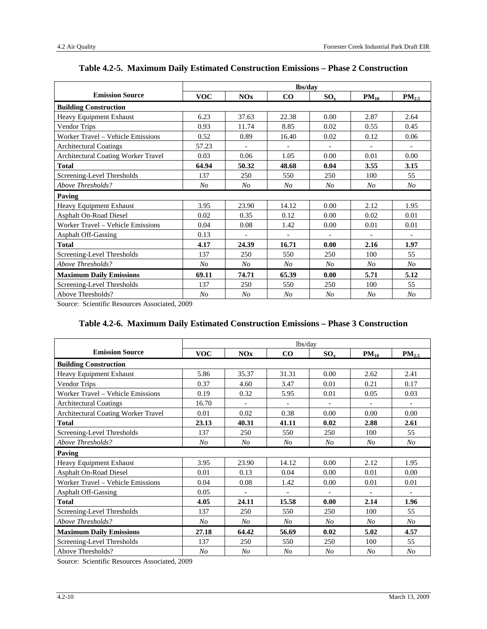|                                     | lbs/day        |                |                |                |                |                |
|-------------------------------------|----------------|----------------|----------------|----------------|----------------|----------------|
| <b>Emission Source</b>              | <b>VOC</b>     | <b>NOx</b>     | $\bf CO$       | $SO_{x}$       | $PM_{10}$      | $PM_{2.5}$     |
| <b>Building Construction</b>        |                |                |                |                |                |                |
| Heavy Equipment Exhaust             | 6.23           | 37.63          | 22.38          | 0.00           | 2.87           | 2.64           |
| Vendor Trips                        | 0.93           | 11.74          | 8.85           | 0.02           | 0.55           | 0.45           |
| Worker Travel – Vehicle Emissions   | 0.52           | 0.89           | 16.40          | 0.02           | 0.12           | 0.06           |
| <b>Architectural Coatings</b>       | 57.23          |                |                |                |                |                |
| Architectural Coating Worker Travel | 0.03           | 0.06           | 1.05           | 0.00           | 0.01           | 0.00           |
| <b>Total</b>                        | 64.94          | 50.32          | 48.68          | 0.04           | 3.55           | 3.15           |
| Screening-Level Thresholds          | 137            | 250            | 550            | 250            | 100            | 55             |
| Above Thresholds?                   | No             | No             | No             | No             | No             | No             |
| Paving                              |                |                |                |                |                |                |
| Heavy Equipment Exhaust             | 3.95           | 23.90          | 14.12          | 0.00           | 2.12           | 1.95           |
| Asphalt On-Road Diesel              | 0.02           | 0.35           | 0.12           | 0.00           | 0.02           | 0.01           |
| Worker Travel – Vehicle Emissions   | 0.04           | 0.08           | 1.42           | 0.00           | 0.01           | 0.01           |
| <b>Asphalt Off-Gassing</b>          | 0.13           |                |                |                |                |                |
| <b>Total</b>                        | 4.17           | 24.39          | 16.71          | 0.00           | 2.16           | 1.97           |
| Screening-Level Thresholds          | 137            | 250            | 550            | 250            | 100            | 55             |
| Above Thresholds?                   | No             | No             | N <sub>o</sub> | No             | N <sub>O</sub> | No             |
| <b>Maximum Daily Emissions</b>      | 69.11          | 74.71          | 65.39          | 0.00           | 5.71           | 5.12           |
| Screening-Level Thresholds          | 137            | 250            | 550            | 250            | 100            | 55             |
| Above Thresholds?                   | N <sub>O</sub> | N <sub>O</sub> | No             | N <sub>O</sub> | N <sub>O</sub> | N <sub>O</sub> |

#### **Table 4.2-5. Maximum Daily Estimated Construction Emissions – Phase 2 Construction**

Source: Scientific Resources Associated, 2009

#### **Table 4.2-6. Maximum Daily Estimated Construction Emissions – Phase 3 Construction**

| lbs/day                             |                |                |                |                |           |                   |
|-------------------------------------|----------------|----------------|----------------|----------------|-----------|-------------------|
| <b>Emission Source</b>              | <b>VOC</b>     | <b>NOx</b>     | $\bf CO$       | $SO_x$         | $PM_{10}$ | PM <sub>2.5</sub> |
| <b>Building Construction</b>        |                |                |                |                |           |                   |
| Heavy Equipment Exhaust             | 5.86           | 35.37          | 31.31          | 0.00           | 2.62      | 2.41              |
| Vendor Trips                        | 0.37           | 4.60           | 3.47           | 0.01           | 0.21      | 0.17              |
| Worker Travel - Vehicle Emissions   | 0.19           | 0.32           | 5.95           | 0.01           | 0.05      | 0.03              |
| <b>Architectural Coatings</b>       | 16.70          | $\overline{a}$ | $\blacksquare$ | $\overline{a}$ |           |                   |
| Architectural Coating Worker Travel | 0.01           | 0.02           | 0.38           | 0.00           | 0.00      | 0.00              |
| <b>Total</b>                        | 23.13          | 40.31          | 41.11          | 0.02           | 2.88      | 2.61              |
| Screening-Level Thresholds          | 137            | 250            | 550            | 250            | 100       | 55                |
| Above Thresholds?                   | No             | No             | N <sub>O</sub> | No             | No        | $N_{O}$           |
| Paving                              |                |                |                |                |           |                   |
| Heavy Equipment Exhaust             | 3.95           | 23.90          | 14.12          | 0.00           | 2.12      | 1.95              |
| <b>Asphalt On-Road Diesel</b>       | 0.01           | 0.13           | 0.04           | 0.00           | 0.01      | 0.00              |
| Worker Travel - Vehicle Emissions   | 0.04           | 0.08           | 1.42           | 0.00           | 0.01      | 0.01              |
| <b>Asphalt Off-Gassing</b>          | 0.05           |                |                |                |           |                   |
| <b>Total</b>                        | 4.05           | 24.11          | 15.58          | 0.00           | 2.14      | 1.96              |
| Screening-Level Thresholds          | 137            | 250            | 550            | 250            | 100       | 55                |
| Above Thresholds?                   | N <sub>O</sub> | N <sub>O</sub> | No             | No             | No        | N <sub>O</sub>    |
| <b>Maximum Daily Emissions</b>      | 27.18          | 64.42          | 56.69          | 0.02           | 5.02      | 4.57              |
| Screening-Level Thresholds          | 137            | 250            | 550            | 250            | 100       | 55                |
| Above Thresholds?                   | N <sub>O</sub> | No             | No             | No             | No        | N <sub>O</sub>    |

Source: Scientific Resources Associated, 2009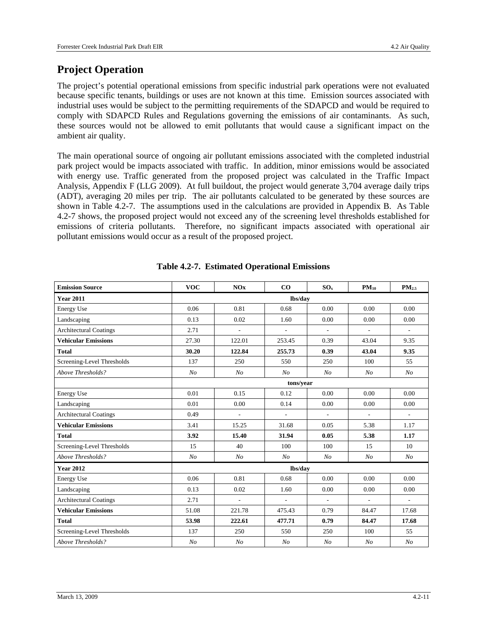## **Project Operation**

The project's potential operational emissions from specific industrial park operations were not evaluated because specific tenants, buildings or uses are not known at this time. Emission sources associated with industrial uses would be subject to the permitting requirements of the SDAPCD and would be required to comply with SDAPCD Rules and Regulations governing the emissions of air contaminants. As such, these sources would not be allowed to emit pollutants that would cause a significant impact on the ambient air quality.

The main operational source of ongoing air pollutant emissions associated with the completed industrial park project would be impacts associated with traffic. In addition, minor emissions would be associated with energy use. Traffic generated from the proposed project was calculated in the Traffic Impact Analysis, Appendix F (LLG 2009). At full buildout, the project would generate 3,704 average daily trips (ADT), averaging 20 miles per trip. The air pollutants calculated to be generated by these sources are shown in Table 4.2-7. The assumptions used in the calculations are provided in Appendix B. As Table 4.2-7 shows, the proposed project would not exceed any of the screening level thresholds established for emissions of criteria pollutants. Therefore, no significant impacts associated with operational air pollutant emissions would occur as a result of the proposed project.

| <b>Emission Source</b>        | <b>VOC</b>     | NOx            | CO             | $SO_x$                   | $PM_{10}$                | PM <sub>2.5</sub>        |  |  |
|-------------------------------|----------------|----------------|----------------|--------------------------|--------------------------|--------------------------|--|--|
| <b>Year 2011</b>              |                |                | lbs/day        |                          |                          |                          |  |  |
| <b>Energy Use</b>             | 0.06           | 0.81           | 0.68           | 0.00                     | 0.00                     | 0.00                     |  |  |
| Landscaping                   | 0.13           | 0.02           | 1.60           | 0.00                     | 0.00                     | 0.00                     |  |  |
| <b>Architectural Coatings</b> | 2.71           | $\frac{1}{2}$  | $\frac{1}{2}$  | $\overline{\phantom{a}}$ | $\overline{\phantom{a}}$ | $\overline{\phantom{a}}$ |  |  |
| <b>Vehicular Emissions</b>    | 27.30          | 122.01         | 253.45         | 0.39                     | 43.04                    | 9.35                     |  |  |
| <b>Total</b>                  | 30.20          | 122.84         | 255.73         | 0.39                     | 43.04                    | 9.35                     |  |  |
| Screening-Level Thresholds    | 137            | 250            | 550            | 250                      | 100                      | 55                       |  |  |
| Above Thresholds?             | N <sub>O</sub> | $N_{O}$        | N <sub>O</sub> | N <sub>O</sub>           | N <sub>O</sub>           | N <sub>O</sub>           |  |  |
|                               | tons/year      |                |                |                          |                          |                          |  |  |
| <b>Energy Use</b>             | 0.01           | 0.15           | 0.12           | 0.00                     | 0.00                     | 0.00                     |  |  |
| Landscaping                   | 0.01           | 0.00           | 0.14           | 0.00                     | 0.00                     | 0.00                     |  |  |
| <b>Architectural Coatings</b> | 0.49           | $\frac{1}{2}$  | ÷,             | $\overline{\phantom{a}}$ | $\overline{\phantom{a}}$ | $\overline{\phantom{a}}$ |  |  |
| <b>Vehicular Emissions</b>    | 3.41           | 15.25          | 31.68          | 0.05                     | 5.38                     | 1.17                     |  |  |
| <b>Total</b>                  | 3.92           | 15.40          | 31.94          | 0.05                     | 5.38                     | 1.17                     |  |  |
| Screening-Level Thresholds    | 15             | 40             | 100            | 100                      | 15                       | 10                       |  |  |
| Above Thresholds?             | N <sub>o</sub> | $N_{O}$        | N <sub>O</sub> | N <sub>O</sub>           | N <sub>O</sub>           | N <sub>O</sub>           |  |  |
| <b>Year 2012</b>              |                |                | lbs/day        |                          |                          |                          |  |  |
| Energy Use                    | 0.06           | 0.81           | 0.68           | 0.00                     | 0.00                     | 0.00                     |  |  |
| Landscaping                   | 0.13           | 0.02           | 1.60           | 0.00                     | 0.00                     | 0.00                     |  |  |
| <b>Architectural Coatings</b> | 2.71           | ÷,             | $\blacksquare$ | $\blacksquare$           | $\mathbb{L}^+$           | $\overline{\phantom{a}}$ |  |  |
| <b>Vehicular Emissions</b>    | 51.08          | 221.78         | 475.43         | 0.79                     | 84.47                    | 17.68                    |  |  |
| <b>Total</b>                  | 53.98          | 222.61         | 477.71         | 0.79                     | 84.47                    | 17.68                    |  |  |
| Screening-Level Thresholds    | 137            | 250            | 550            | 250                      | 100                      | 55                       |  |  |
| Above Thresholds?             | N <sub>o</sub> | N <sub>O</sub> | N <sub>O</sub> | N <sub>o</sub>           | N <sub>O</sub>           | N <sub>O</sub>           |  |  |

| <b>Table 4.2-7. Estimated Operational Emissions</b> |
|-----------------------------------------------------|
|-----------------------------------------------------|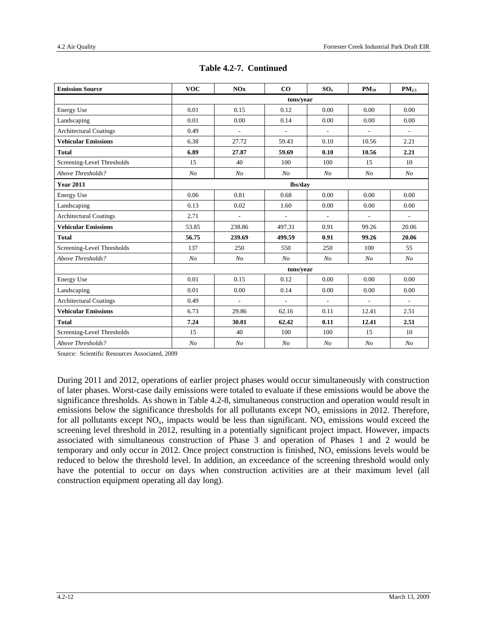| <b>Emission Source</b>        | <b>VOC</b>     | NOx                      | CO             | SO <sub>x</sub> | $PM_{10}$                | PM <sub>2.5</sub>        |  |
|-------------------------------|----------------|--------------------------|----------------|-----------------|--------------------------|--------------------------|--|
|                               |                |                          | tons/year      |                 |                          |                          |  |
| Energy Use                    | 0.01           | 0.15                     | 0.12           | 0.00            | 0.00                     | 0.00                     |  |
| Landscaping                   | 0.01           | 0.00                     | 0.14           | 0.00            | 0.00                     | 0.00                     |  |
| <b>Architectural Coatings</b> | 0.49           | $\overline{\phantom{a}}$ | $\overline{a}$ | $\overline{a}$  | $\overline{\phantom{a}}$ | $\overline{\phantom{a}}$ |  |
| <b>Vehicular Emissions</b>    | 6.38           | 27.72                    | 59.43          | 0.10            | 10.56                    | 2.21                     |  |
| <b>Total</b>                  | 6.89           | 27.87                    | 59.69          | 0.10            | 10.56                    | 2.21                     |  |
| Screening-Level Thresholds    | 15             | 40                       | 100            | 100             | 15                       | 10                       |  |
| Above Thresholds?             | N <sub>O</sub> | N <sub>O</sub>           | N <sub>O</sub> | N <sub>O</sub>  | N <sub>O</sub>           | N <sub>O</sub>           |  |
| <b>Year 2013</b>              | lbs/day        |                          |                |                 |                          |                          |  |
| Energy Use                    | 0.06           | 0.81                     | 0.68           | 0.00            | 0.00                     | 0.00                     |  |
| Landscaping                   | 0.13           | 0.02                     | 1.60           | 0.00            | 0.00                     | 0.00                     |  |
| <b>Architectural Coatings</b> | 2.71           | $\overline{\phantom{a}}$ | $\frac{1}{2}$  | ÷,              | $\overline{\phantom{a}}$ | $\overline{\phantom{a}}$ |  |
| <b>Vehicular Emissions</b>    | 53.85          | 238.86                   | 497.31         | 0.91            | 99.26                    | 20.06                    |  |
| <b>Total</b>                  | 56.75          | 239.69                   | 499.59         | 0.91            | 99.26                    | 20.06                    |  |
| Screening-Level Thresholds    | 137            | 250                      | 550            | 250             | 100                      | 55                       |  |
| Above Thresholds?             | N <sub>O</sub> | N <sub>O</sub>           | N <sub>O</sub> | N <sub>O</sub>  | N <sub>O</sub>           | N <sub>O</sub>           |  |
|                               | tons/year      |                          |                |                 |                          |                          |  |
| Energy Use                    | 0.01           | 0.15                     | 0.12           | 0.00            | 0.00                     | 0.00                     |  |
| Landscaping                   | 0.01           | 0.00                     | 0.14           | 0.00            | 0.00                     | 0.00                     |  |
| <b>Architectural Coatings</b> | 0.49           | $\overline{\phantom{a}}$ | $\frac{1}{2}$  | $\frac{1}{2}$   | $\overline{\phantom{a}}$ | $\overline{\phantom{a}}$ |  |
| <b>Vehicular Emissions</b>    | 6.73           | 29.86                    | 62.16          | 0.11            | 12.41                    | 2.51                     |  |
| <b>Total</b>                  | 7.24           | 30.01                    | 62.42          | 0.11            | 12.41                    | 2.51                     |  |
| Screening-Level Thresholds    | 15             | 40                       | 100            | 100             | 15                       | 10                       |  |
| Above Thresholds?             | N <sub>O</sub> | N <sub>O</sub>           | N <sub>O</sub> | N <sub>O</sub>  | N <sub>O</sub>           | N <sub>O</sub>           |  |

| Table 4.2-7. Continued |  |
|------------------------|--|
|------------------------|--|

Source: Scientific Resources Associated, 2009

During 2011 and 2012, operations of earlier project phases would occur simultaneously with construction of later phases. Worst-case daily emissions were totaled to evaluate if these emissions would be above the significance thresholds. As shown in Table 4.2-8, simultaneous construction and operation would result in emissions below the significance thresholds for all pollutants except  $NO<sub>x</sub>$  emissions in 2012. Therefore, for all pollutants except  $NO_x$ , impacts would be less than significant.  $NO_x$  emissions would exceed the screening level threshold in 2012, resulting in a potentially significant project impact. However, impacts associated with simultaneous construction of Phase 3 and operation of Phases 1 and 2 would be temporary and only occur in 2012. Once project construction is finished,  $NO<sub>x</sub>$  emissions levels would be reduced to below the threshold level. In addition, an exceedance of the screening threshold would only have the potential to occur on days when construction activities are at their maximum level (all construction equipment operating all day long).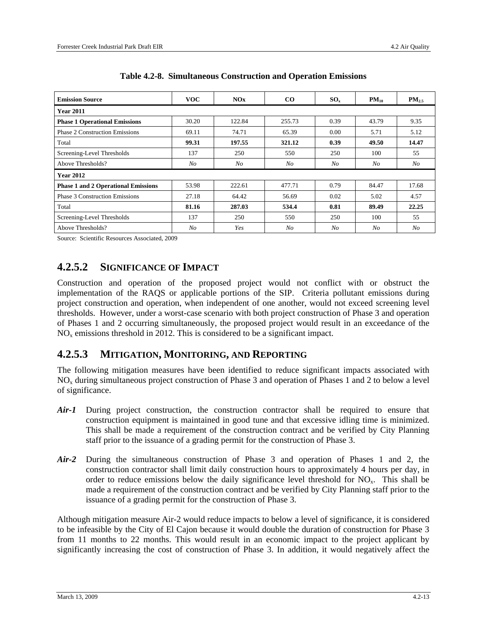| <b>Emission Source</b>                     | <b>VOC</b> | NOx     | $\bf{CO}$ | $SO_{x}$       | $PM_{10}$ | $PM_{2.5}$ |  |  |  |
|--------------------------------------------|------------|---------|-----------|----------------|-----------|------------|--|--|--|
| <b>Year 2011</b>                           |            |         |           |                |           |            |  |  |  |
| <b>Phase 1 Operational Emissions</b>       | 30.20      | 122.84  | 255.73    | 0.39           | 43.79     | 9.35       |  |  |  |
| <b>Phase 2 Construction Emissions</b>      | 69.11      | 74.71   | 65.39     | 0.00           | 5.71      | 5.12       |  |  |  |
| Total                                      | 99.31      | 197.55  | 321.12    | 0.39           | 49.50     | 14.47      |  |  |  |
| Screening-Level Thresholds                 | 137        | 250     | 550       | 250            | 100       | 55         |  |  |  |
| Above Thresholds?                          | $N_{O}$    | $N_{O}$ | $N_{O}$   | N <sub>O</sub> | $N_{O}$   | $N_{O}$    |  |  |  |
| <b>Year 2012</b>                           |            |         |           |                |           |            |  |  |  |
| <b>Phase 1 and 2 Operational Emissions</b> | 53.98      | 222.61  | 477.71    | 0.79           | 84.47     | 17.68      |  |  |  |
| <b>Phase 3 Construction Emissions</b>      | 27.18      | 64.42   | 56.69     | 0.02           | 5.02      | 4.57       |  |  |  |
| Total                                      | 81.16      | 287.03  | 534.4     | 0.81           | 89.49     | 22.25      |  |  |  |
| Screening-Level Thresholds                 | 137        | 250     | 550       | 250            | 100       | 55         |  |  |  |
| Above Thresholds?                          | No         | Yes     | No        | No             | No        | No         |  |  |  |

|  |  |  | Table 4.2-8. Simultaneous Construction and Operation Emissions |
|--|--|--|----------------------------------------------------------------|
|--|--|--|----------------------------------------------------------------|

Source: Scientific Resources Associated, 2009

### **4.2.5.2 SIGNIFICANCE OF IMPACT**

Construction and operation of the proposed project would not conflict with or obstruct the implementation of the RAQS or applicable portions of the SIP. Criteria pollutant emissions during project construction and operation, when independent of one another, would not exceed screening level thresholds. However, under a worst-case scenario with both project construction of Phase 3 and operation of Phases 1 and 2 occurring simultaneously, the proposed project would result in an exceedance of the  $NO<sub>x</sub>$  emissions threshold in 2012. This is considered to be a significant impact.

#### **4.2.5.3 MITIGATION, MONITORING, AND REPORTING**

The following mitigation measures have been identified to reduce significant impacts associated with NOx during simultaneous project construction of Phase 3 and operation of Phases 1 and 2 to below a level of significance.

- *Air-1* During project construction, the construction contractor shall be required to ensure that construction equipment is maintained in good tune and that excessive idling time is minimized. This shall be made a requirement of the construction contract and be verified by City Planning staff prior to the issuance of a grading permit for the construction of Phase 3.
- *Air-2* During the simultaneous construction of Phase 3 and operation of Phases 1 and 2, the construction contractor shall limit daily construction hours to approximately 4 hours per day, in order to reduce emissions below the daily significance level threshold for  $NO<sub>x</sub>$ . This shall be made a requirement of the construction contract and be verified by City Planning staff prior to the issuance of a grading permit for the construction of Phase 3.

Although mitigation measure Air-2 would reduce impacts to below a level of significance, it is considered to be infeasible by the City of El Cajon because it would double the duration of construction for Phase 3 from 11 months to 22 months. This would result in an economic impact to the project applicant by significantly increasing the cost of construction of Phase 3. In addition, it would negatively affect the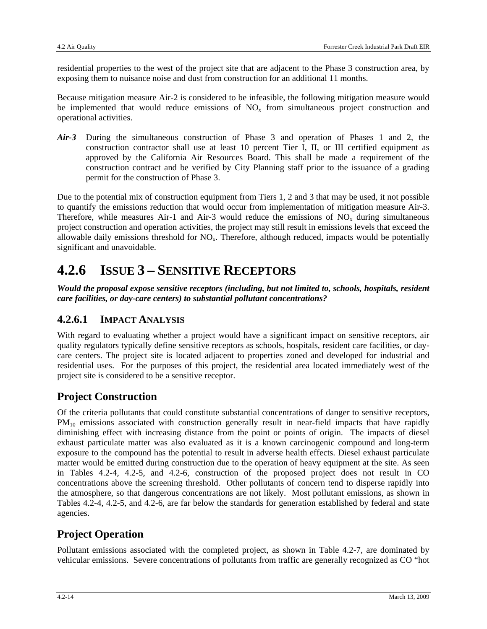residential properties to the west of the project site that are adjacent to the Phase 3 construction area, by exposing them to nuisance noise and dust from construction for an additional 11 months.

Because mitigation measure Air-2 is considered to be infeasible, the following mitigation measure would be implemented that would reduce emissions of  $NO<sub>x</sub>$  from simultaneous project construction and operational activities.

*Air-3* During the simultaneous construction of Phase 3 and operation of Phases 1 and 2, the construction contractor shall use at least 10 percent Tier I, II, or III certified equipment as approved by the California Air Resources Board. This shall be made a requirement of the construction contract and be verified by City Planning staff prior to the issuance of a grading permit for the construction of Phase 3.

Due to the potential mix of construction equipment from Tiers 1, 2 and 3 that may be used, it not possible to quantify the emissions reduction that would occur from implementation of mitigation measure Air-3. Therefore, while measures Air-1 and Air-3 would reduce the emissions of  $NO<sub>x</sub>$  during simultaneous project construction and operation activities, the project may still result in emissions levels that exceed the allowable daily emissions threshold for  $NO<sub>x</sub>$ . Therefore, although reduced, impacts would be potentially significant and unavoidable.

## **4.2.6 ISSUE 3 – SENSITIVE RECEPTORS**

*Would the proposal expose sensitive receptors (including, but not limited to, schools, hospitals, resident care facilities, or day-care centers) to substantial pollutant concentrations?* 

### **4.2.6.1 IMPACT ANALYSIS**

With regard to evaluating whether a project would have a significant impact on sensitive receptors, air quality regulators typically define sensitive receptors as schools, hospitals, resident care facilities, or daycare centers. The project site is located adjacent to properties zoned and developed for industrial and residential uses. For the purposes of this project, the residential area located immediately west of the project site is considered to be a sensitive receptor.

## **Project Construction**

Of the criteria pollutants that could constitute substantial concentrations of danger to sensitive receptors, PM<sub>10</sub> emissions associated with construction generally result in near-field impacts that have rapidly diminishing effect with increasing distance from the point or points of origin. The impacts of diesel exhaust particulate matter was also evaluated as it is a known carcinogenic compound and long-term exposure to the compound has the potential to result in adverse health effects. Diesel exhaust particulate matter would be emitted during construction due to the operation of heavy equipment at the site. As seen in Tables 4.2-4, 4.2-5, and 4.2-6, construction of the proposed project does not result in CO concentrations above the screening threshold. Other pollutants of concern tend to disperse rapidly into the atmosphere, so that dangerous concentrations are not likely. Most pollutant emissions, as shown in Tables 4.2-4, 4.2-5, and 4.2-6, are far below the standards for generation established by federal and state agencies.

## **Project Operation**

Pollutant emissions associated with the completed project, as shown in Table 4.2-7, are dominated by vehicular emissions. Severe concentrations of pollutants from traffic are generally recognized as CO "hot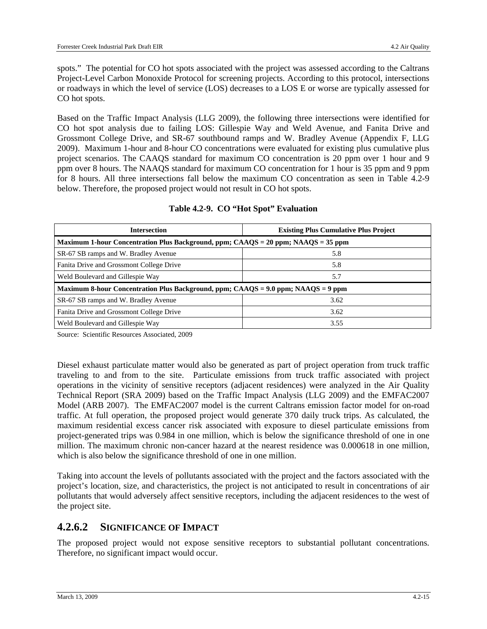spots." The potential for CO hot spots associated with the project was assessed according to the Caltrans Project-Level Carbon Monoxide Protocol for screening projects. According to this protocol, intersections or roadways in which the level of service (LOS) decreases to a LOS E or worse are typically assessed for CO hot spots.

Based on the Traffic Impact Analysis (LLG 2009), the following three intersections were identified for CO hot spot analysis due to failing LOS: Gillespie Way and Weld Avenue, and Fanita Drive and Grossmont College Drive, and SR-67 southbound ramps and W. Bradley Avenue (Appendix F, LLG 2009). Maximum 1-hour and 8-hour CO concentrations were evaluated for existing plus cumulative plus project scenarios. The CAAQS standard for maximum CO concentration is 20 ppm over 1 hour and 9 ppm over 8 hours. The NAAQS standard for maximum CO concentration for 1 hour is 35 ppm and 9 ppm for 8 hours. All three intersections fall below the maximum CO concentration as seen in Table 4.2-9 below. Therefore, the proposed project would not result in CO hot spots.

| <b>Intersection</b>                                                               | <b>Existing Plus Cumulative Plus Project</b> |  |  |  |  |
|-----------------------------------------------------------------------------------|----------------------------------------------|--|--|--|--|
| Maximum 1-hour Concentration Plus Background, ppm; CAAQS = 20 ppm; NAAQS = 35 ppm |                                              |  |  |  |  |
| SR-67 SB ramps and W. Bradley Avenue                                              | 5.8                                          |  |  |  |  |
| Fanita Drive and Grossmont College Drive                                          | 5.8                                          |  |  |  |  |
| Weld Boulevard and Gillespie Way                                                  | 5.7                                          |  |  |  |  |
| Maximum 8-hour Concentration Plus Background, ppm; CAAQS = 9.0 ppm; NAAQS = 9 ppm |                                              |  |  |  |  |
| SR-67 SB ramps and W. Bradley Avenue                                              | 3.62                                         |  |  |  |  |
| Fanita Drive and Grossmont College Drive                                          | 3.62                                         |  |  |  |  |
| Weld Boulevard and Gillespie Way                                                  | 3.55                                         |  |  |  |  |

#### **Table 4.2-9. CO "Hot Spot" Evaluation**

Source: Scientific Resources Associated, 2009

Diesel exhaust particulate matter would also be generated as part of project operation from truck traffic traveling to and from to the site. Particulate emissions from truck traffic associated with project operations in the vicinity of sensitive receptors (adjacent residences) were analyzed in the Air Quality Technical Report (SRA 2009) based on the Traffic Impact Analysis (LLG 2009) and the EMFAC2007 Model (ARB 2007). The EMFAC2007 model is the current Caltrans emission factor model for on-road traffic. At full operation, the proposed project would generate 370 daily truck trips. As calculated, the maximum residential excess cancer risk associated with exposure to diesel particulate emissions from project-generated trips was 0.984 in one million, which is below the significance threshold of one in one million. The maximum chronic non-cancer hazard at the nearest residence was 0.000618 in one million, which is also below the significance threshold of one in one million.

Taking into account the levels of pollutants associated with the project and the factors associated with the project's location, size, and characteristics, the project is not anticipated to result in concentrations of air pollutants that would adversely affect sensitive receptors, including the adjacent residences to the west of the project site.

#### **4.2.6.2 SIGNIFICANCE OF IMPACT**

The proposed project would not expose sensitive receptors to substantial pollutant concentrations. Therefore, no significant impact would occur.